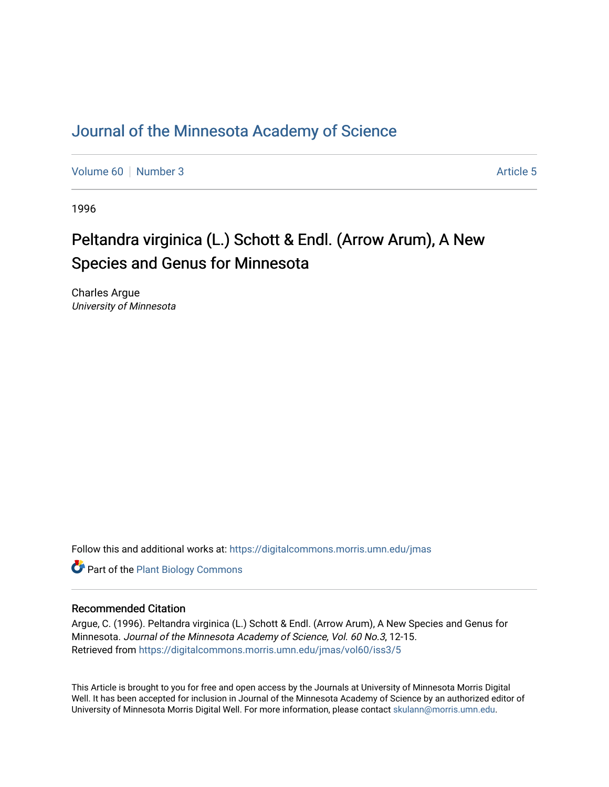# [Journal of the Minnesota Academy of Science](https://digitalcommons.morris.umn.edu/jmas)

[Volume 60](https://digitalcommons.morris.umn.edu/jmas/vol60) [Number 3](https://digitalcommons.morris.umn.edu/jmas/vol60/iss3) Article 5

1996

# Peltandra virginica (L.) Schott & Endl. (Arrow Arum), A New Species and Genus for Minnesota

Charles Argue University of Minnesota

Follow this and additional works at: [https://digitalcommons.morris.umn.edu/jmas](https://digitalcommons.morris.umn.edu/jmas?utm_source=digitalcommons.morris.umn.edu%2Fjmas%2Fvol60%2Fiss3%2F5&utm_medium=PDF&utm_campaign=PDFCoverPages) 

**Part of the Plant Biology Commons** 

# Recommended Citation

Argue, C. (1996). Peltandra virginica (L.) Schott & Endl. (Arrow Arum), A New Species and Genus for Minnesota. Journal of the Minnesota Academy of Science, Vol. 60 No.3, 12-15. Retrieved from [https://digitalcommons.morris.umn.edu/jmas/vol60/iss3/5](https://digitalcommons.morris.umn.edu/jmas/vol60/iss3/5?utm_source=digitalcommons.morris.umn.edu%2Fjmas%2Fvol60%2Fiss3%2F5&utm_medium=PDF&utm_campaign=PDFCoverPages)

This Article is brought to you for free and open access by the Journals at University of Minnesota Morris Digital Well. It has been accepted for inclusion in Journal of the Minnesota Academy of Science by an authorized editor of University of Minnesota Morris Digital Well. For more information, please contact [skulann@morris.umn.edu](mailto:skulann@morris.umn.edu).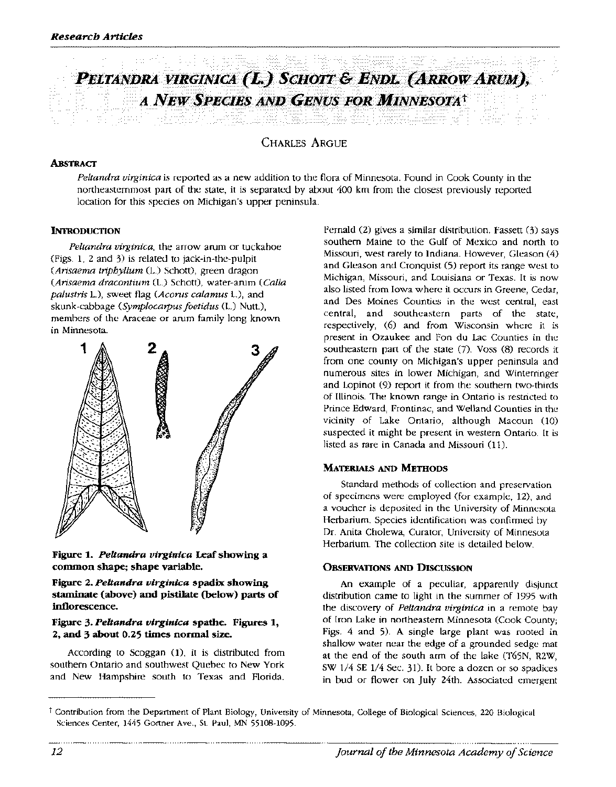

CHARLES ARGUE

#### **ABsTRACT**

*Peltandra virginica* is reported as a new addition to the flora of Minnesota. Found in Cook County in the northeasternmost part of the state, it is separated by about 400 km from the closest previously reported location for this species on Michigan's upper peninsula.

#### **INTRODUCTION**

*Peltandra virginica,* the arrow arum or tuckahoe (Figs. 1, 2 and 3) is related to jack-in-the-pulpit *(Arisaema triphyllum* (L.) Schott), green dragon *(Arisaema dracontium* (L.) Schott), water-arum *(Calla palustris* L.), sweet flag *(Acorus calamus* L.), and skunk-cabbage *(Symplocatpus joetidus* (L.) Nutt.), members of the Araceae or arum family long known in Minnesota.



**Figure 1.** *Peltandra virginica* **Leaf showing a common shape; shape variable.** 

**Figure 2.** *Peltandra virginica* **spadix showing staminate (above) and pistilate (below) parts of inflorescence.** 

#### **Figure 3.** *Peltandra virginica* **spathe. Figures 1, 2, and 3 about 0.25 times normal size.**

According to Scoggan (1), it is distributed from southern Ontario and southwest Quebec to New York and New Hampshire south to Texas and Florida.

Fernald (2) gives a similar distribution. Fassett (3) says southern Maine to the Gulf of Mexico and north to Missouri, west rarely to Indiana. However, Gleason (4) and Gleason and Cronquist (5) report its range west to Michigan, Missouri, and Louisiana or Texas. It is now also listed from Iowa where it occurs in Greene, Cedar, and Des Moines Counties in the west central, east central, and southeastern parts of the state, respectively, (6) and from Wisconsin where it is present in Ozaukee and Fon du Lac Counties in the southeastern part of the state (7). Voss (8) records it from one county on Michigan's upper peninsula and numerous sites in lower Michigan, and Winterringer and Lopinot (9) report it from the southern two-thirds of Illinois. The known range in Ontario is restricted to Prince Edward, Frontinac, and Weiland Counties in the vicinity of Lake Ontario, although Macoun (10) suspected it might be present in western Ontario. It is listed as rare in Canada and Missouri (11).

#### **MATERIALS AND METHODS**

Standard methods of collection and preservation of specimens were employed (for example, 12), and a voucher is deposited in the University of Minnesota Herbarium. Species identification was confirmed by Dr. Anita Cholewa, Curator, University of Minnesota Herbarium. The collection site is detailed below.

#### **OBSERVATIONS AND DISCUSSION**

An example of a peculiar, apparently disjunct distribution came to light in the summer of 1995 with the discovery of *Peltandra virginica* in a remote bay of Iron Lake in northeastern Minnesota (Cook County; Figs. 4 and 5). A single large plant was rooted in shallow water near the edge of a grounded sedge mat at the end of the south arm of the lake (T65N, R2W, SW 1/4 SE 1/4 Sec. 31). It bore a dozen or so spadices in bud or flower on July 24th. Associated emergent

t Contribution from the Department of Plant Biology, University of Minnesota, College of Biological Sciences, 220 Biological Sciences Center, 1445 Gortner Ave., St. Paul, MN 55108-1095.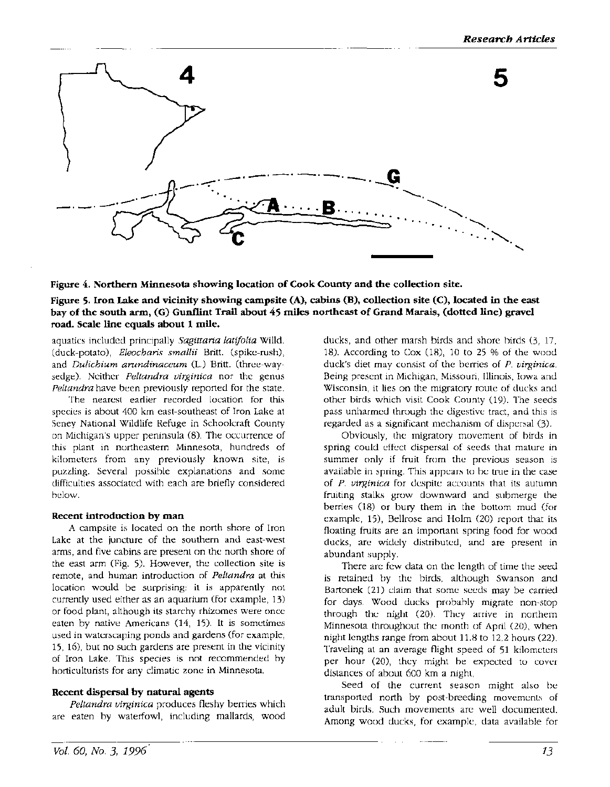

**Figure 4. Northern Minnesota showing location of Cook County and the collection site.** 

**Figure 5. Iron Lake and vicinity showing campsite (A), cabins (B), collection site** (C), **located in the east bay of the south arm, (G) Gunflint Trail about 45 miles northeast of Grand Marais, (dotted line) gravel road. Scale line equals about 1 mile.** 

aquatics included principally *Sagittaria latifolia* Willd. (duck-potato), *Eleocharis smallii* Britt. (spike-rush), and *Dulichium arundinaceum* (L.) Britt. (three-waysedge). Neither *Peltandra virginica* nor the genus *Peltandra* have been previously reported for the state.

The nearest earlier recorded location for this species is about 400 km east-southeast of Iron Lake at Seney National Wildlife Refuge in Schoolcraft County on Michigan's upper peninsula (8). The occurrence of this plant in northeastern Minnesota, hundreds of kilometers from any previously known site, is puzzling. Several possible explanations and some difficulties associated with each are briefly considered below.

#### **Recent introduction by man**

A campsite is located on the north shore of Iron Lake at the juncture of the southern and east-west arms, and five cabins are present on the north shore of the east arm (Fig. 5). However, the collection site is remote, and human introduction of *Peltandra* at this location would be surprising: it is apparently not currently used either as an aquarium (for example, 13) or food plant, although its starchy rhizomes were once eaten by native Americans (14, 15). It is sometimes used in waterscaping ponds and gardens (for example, 15, 16), but no such gardens are present in the vicinity of Iron Lake. This species is not recommended by horticulturists for any climatic zone in Minnesota.

## **Recent dispersal by natural agents**

*Peltandra virginica* produces fleshy berries which are eaten by waterfowl, including mallards, wood

ducks, and other marsh birds and shore birds (3, 17, 18). According to Cox  $(18)$ , 10 to 25 % of the wood duck's diet may consist of the berries of *P. virginica.*  Being present in Michigan, Missouri, Illinois, Iowa and Wisconsin, it lies on the migratory route of ducks and other birds which visit Cook County (19). The seeds pass unharmed through the digestive tract, and this is regarded as a significant mechanism of dispersal (3).

Obviously, the migratory movement of birds in spring could effect dispersal of seeds that mature in summer only if fruit from the previous season is available in spring. This appears to be true in the case of *P. virginica* for despite accounts that its autumn fruiting stalks grow downward and submerge the berries (18) or bury them in the bottom mud (for example, 15), Bellrose and Holm (20) report that its floating fruits are an important spring food for wood ducks, are widely distributed, and are present in abundant supply.

There are few data on the length of time the seed is retained by the birds, although Swanson and Bartonek (21) claim that some seeds may be carried for days. Wood ducks probably migrate non-stop through the night (20). They arrive in northern Minnesota throughout the month of April (20), when night lengths range from about 11.8 to 12.2 hours (22). Traveling at an average flight speed of 51 kilometers per hour  $(20)$ , they might be expected to cover distances of about 600 km a night,

Seed of the current season might also be transported north by post-breeding movements of adult birds. Such movements are well documented. Among wood ducks, for example, data available for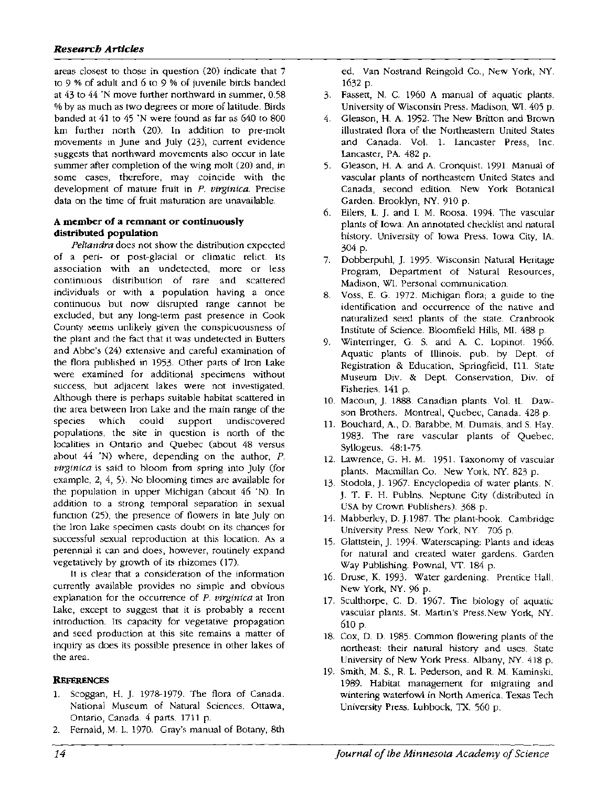areas closest to those in question (20) indicate that 7 to 9 % of adult and 6 to 9 % of juvenile birds banded at 43 to 44 "N move further northward in summer, 0.58 % by as much as two degrees or more of latitude. Birds banded at 41 to 45 "N were found as far as 640 to 800 km further north (20). In addition to pre-molt movements in June and July (23), current evidence suggests that northward movements also occur in late summer after completion of the wing molt (20) and, in some cases, therefore, may coincide with the development of mature fruit in P. virginica. Precise data on the time of fruit maturation are unavailable.

### **A member of a remnant or continuously distributed population**

Peltandra does not show the distribution expected of a peri- or post-glacial or climatic relict. Its association with an undetected, more or less continuous distribution of rare and scattered individuals or with a population having a once continuous but now disrupted range cannot be excluded, but any long-term past presence in Cook County seems unlikely given the conspicuousness of the plant and the fact that it was undetected in Butters and Abbe's (24) extensive and careful examination of the flora published in 1953. Other parts of Iron Lake were examined for additional specimens without success, but adjacent lakes were not investigated. Although there is perhaps suitable habitat scattered in the area between Iron Lake and the main range of the species which could support undiscovered populations, the site in question is north of the localities in Ontario and Quebec (about 48 versus about 44 "N) where, depending on the author, *P.*  virginica is said to bloom from spring into July (for example, 2, 4, 5). No blooming times are available for the population in upper Michigan (about 46 "N). In addition to a strong temporal separation in sexual function (25), the presence of flowers in late July on the Iron Lake specimen casts doubt on its chances for successful sexual reproduction at this location. As a perennial it can and does, however, routinely expand vegetatively by growth of its rhizomes (17).

It is clear that a consideration of the information currently available provides no simple and obvious explanation for the occurrence of P. virginica at Iron Lake, except to suggest that it is probably a recent introduction. Its capacity for vegetative propagation and seed production at this site remains a matter of inquiry as does its possible presence in other lakes of the area.

## **REFERENCES**

- 1. Scoggan, H. *].* 1978-1979. The flora of Canada. National Museum of Natural Sciences. Ottawa, Ontario, Canada. 4 parts. 1711 p.
- 2. Fernald, M. L. 1970. Gray's manual of Botany, 8th

ed. Van Nostrand Reingold Co., New York, NY. 1632 p.

- 3. Fassett, N. C. 1960 A manual of aquatic plants. University of Wisconsin Press. Madison, WI. 405 p.
- 4. Gleason, H. A. 1952. The New Britton and Brown illustrated flora of the Northeastern United States and Canada. Vol. 1. Lancaster Press, Inc. Lancaster, PA. 482 p.
- 5. Gleason, H. A. and A. Cronquist. 1991. Manual of vascular plants of northeastern United States and Canada, second edition. New York Botanical Garden. Brooklyn, NY. 910 p.
- 6. Eilers, L. J. and I. M. Roosa. 1994. The vascular plants of Iowa: An annotated checklist and natural history. University of Iowa Press. Iowa City, IA. 304 p.
- 7. Dobberpuhl, *].* 1995. Wisconsin Natural Heritage Program, Department of Natural Resources, Madison, WI. Personal communication.
- 8. Voss, E. G. 1972. Michigan flora; a guide to the identification and occurrence of the native and naturalized seed plants of the state. Cranbrook Institute of Science. Bloomfield Hills, MI. 488 p.
- 9. Winterringer, G. S. and A. C. Lopinot. 1966. Aquatic plants of Illinois. pub. by Dept. of Registration & Education, Springfield, Ill. State Museum Div. & Dept. Conservation, Div. of Fisheries. 141 p.
- 10. Macoun, *].* 1888. Canadian plants. Vol. II. Dawson Brothers. Montreal, Quebec, Canada. 428 p.
- 11. Bouchard, A., D. Barabbe, M. Dumais, and S. Hay. 1983. The rare vascular plants of Quebec. Syllogeus. 48:1-75.
- 12. Lawrence, G. H. M. 1951. Taxonomy of vascular plants. Macmillan Co. New York, NY. 823 p.
- 13. Stodola,]. 1967. Encyclopedia of water plants. N. *].* T. F. H. Publns. Neptune City (distributed in USA by Crown Publishers). 368 p.
- 14. Mabberley, D. ].1987. The plant-book. Cambridge University Press. New York, NY. 706 p.
- 15. Glattstein,]. 1994. Waterscaping: Plants and ideas for natural and created water gardens. Garden Way Publishing. Pownal, VT. 184 p.
- 16. Druse, K. 1993. Water gardening. Prentice Hall. New York, NY. 96 p.
- 17. Sculthorpe, C. D. 1967. The biology of aquatic vascular plants. St. Martin's Press.New York, NY. 610 p.
- 18. Cox, D. D. 1985. Common flowering plants of the northeast: their natural history and uses. State University of New York Press. Albany, NY. 418 p.
- 19. Smith, M. S., R. L. Pederson, and R. M. Kaminski. 1989. Habitat management for migrating and wintering waterfowl in North America. Texas Tech University Press. Lubbock, TX. 560 p.